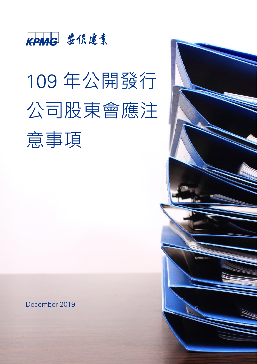

# 109 年公開發行 公司股東會應注 意事項

December 2019

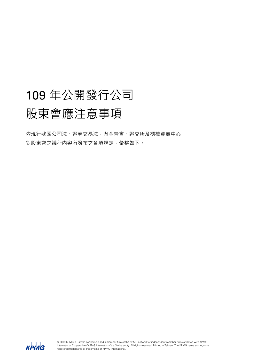# 109 年公開發行公司 股東會應注意事項

依現行我國公司法、證券交易法,與金管會、證交所及櫃檯買賣中心 對股東會之議程內容所發布之各項規定,彙整如下。

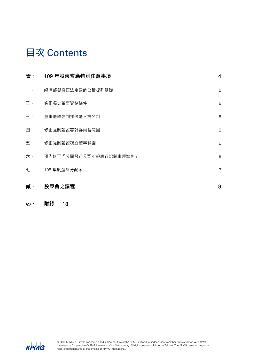# **目次** Contents

| 壹、                   | 109 年股東會應特別注意事項        | $\overline{4}$ |
|----------------------|------------------------|----------------|
| $ \cdot$             | 經濟部擬修正法定盈餘公積提列基礎       | 5              |
| $\sim 100$ $\lambda$ | 修正獨立董事資格條件             | 5              |
| $\equiv$ $\cdot$     | 董事選舉強制採候選人提名制          | 6              |
| 四、                   | 修正強制設置審計委員會範圍          | 6              |
| 五、                   | 修正強制設置獨立董事範圍           | 6              |
| 六、                   | 預告修正「公開發行公司年報應行記載事項準則」 | 6              |
| 七、                   | 108 年度盈餘分配案            | $\overline{7}$ |
| 貳、                   | 股東會之議程                 | 9              |

#### 參、 **附錄** [18](#page-17-0)

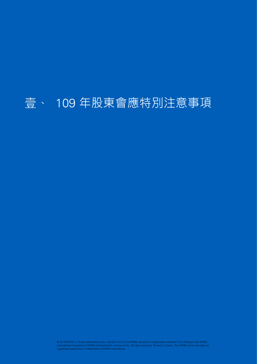# <span id="page-3-0"></span>109 年股東會應特別注意事項壹、

© 2019 KPMG, a Taiwan partnership and a member firm of the KPMG network of independent member firms affiliated with KPMG<br>International Cooperative ("KPMG International"), a Swiss entity. All rights reserved. Printed in Tai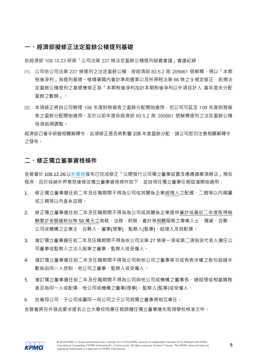#### <span id="page-4-0"></span>**一、經濟部擬修正法定盈餘公積提列基礎**

依經濟部 108.10.23 研商「公司法第 237 條法定盈餘公積提列疑義會議」會議紀錄:

- (1). 公司依公司法第 237 條提列之法定盈餘公積,按經濟部 83.5.2 商 205661 號解釋,得以「本期 稅後淨利,為提列基礎。惟隨著國內會計進則變革以及所得稅法第 66 條之 9 規定修正,前揭法 定盈餘公積提列之基礎應修正為「本期稅後淨利加計本期稅後淨利以外項目計入 當年度未分配 盈餘之數額」。
- (2). 本項修正將自公司辦理 108 年度財務報表之盈餘分配開始適用,但公司可延至 109 年度財務報 表之盈餘分配開始適用。至於以前年度依經濟部 83.5.2 商 205661 號解釋提列之法定盈餘公積, 毋須追溯調整。

經濟部已著手研擬相關解釋令,此項修正是否將影響 108 年度盈餘分配,請公司密切注意相關解釋令 之發布。

#### <span id="page-4-1"></span>**二、修正獨立董事資格條件**

金管會於 108.12.26[以新聞稿發](https://www.sfb.gov.tw/ch/home.jsp?id=95&parentpath=0,2&mcustomize=multimessage_view.jsp&dataserno=201912260002&aplistdn=ou=news,ou=multisite,ou=chinese,ou=ap_root,o=fsc,c=tw&dtable=News)布已完成修正「公開發行公司獨立董事設置及應遵循事項辦法」預告 程序,且於採納外界意見後修改獨立董事資格條件如下,並自現任獨立董事任期屆滿開始適用:

- 1. 修正獨立董事選任前二年及任職期間不得為公司或其關係企業經理人之配偶、二親等以內親屬 或三親等以內直系血親。
- 2. 修正獨立董事選任前二年及任職期間不得為為公司或其關係企業提供審計或最近二年度取得報 酬累計金額逾新台幣 50 萬元之商務、法務、財務、會計等相關服務之專業人士、獨資、合夥、 公司或機構之企業主、合夥人、董事(理事)、監察人(監事)、經理人及其配偶。
- 3. 增訂獨立董事選任前二年及任職期間不得為依公司法第 27 條第一項或第二項指派代表人擔任公 司董事或監察人之法人股東之董事、監察人或受僱人。
- 4. 增訂獨立董事選任前二年及任職期間不得為公司與他公司之董事席次或有表決權之股份超過半 數係由同一人控制,他公司之董事、監察人或受僱人。
- 5. 增訂獨立董事選任前二年及任職期間不得為公司與他公司或機構之董事長、總經理或相當職務 者互為同一人或配偶﹐他公司或機構之董事(理事)、監察人(監事)或受僱人﹐
- 6. 放寬母公司、子公司或屬同一母公司之子公司其獨立董事得相互兼任。 金管會將另外發函要求提名公立大專校院專任教師擔任獨立董事應先取得學校核准文件。

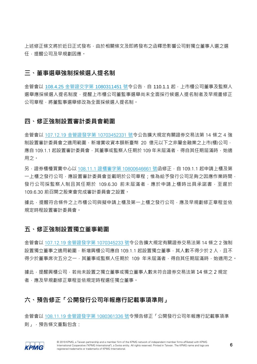上述修正條文將於近日正式發布,由於相關條文及即將發布之函釋恐影響公司對獨立董事人選之選 任,提醒公司及早規劃因應。

#### <span id="page-5-0"></span>**三、董事選舉強制採候選人提名制**

金管會以 108.4.25 [金管證交字第](https://www.sfb.gov.tw/ch/home.jsp?id=88&parentpath=0,3&mcustomize=lawnews_view.jsp&dataserno=201904260001) 1080311451 號令公告,自 110.1.1 起,上市櫃公司董事及監察人 選舉應採候選人提名制度,提醒上市櫃公司董監事選舉尚未全面採行候選人提名制者及早規畫修正 公司章程,將董監事選舉修改為全面採候選人提名制。

#### <span id="page-5-1"></span>**四、修正強制設置審計委員會範圍**

金管會以 107.12.19 金管證發字第 [10703452331](https://www.sfb.gov.tw/ch/home.jsp?id=88&parentpath=0,3&mcustomize=lawnews_view.jsp&dataserno=201812190002) 號令公告擴大規定有關證券交易法第 14 條之 4 強 制設置審計委員會之適用範圍,新增實收資本額新臺幣 20 億元以下之非屬金融業之上市(櫃)公司, 應自 109.1.1 起設置審計委員會,其董事或監察人任期於 109 年未屆滿者,得自其任期屆滿時,始適 用之。

另, 證券櫃檯買賣中心以 108.11.1 證櫃審字第 [10800646661](https://www.tpex.org.tw/web/bulletin/announcement/ann_detail.php?l=zh-tw&content_file=MTA4MDA2NDY2NjEuaHRtbA%3D%3D&content_number=MTA4MDA2NDY2NjE%3D) 號函修正, 自 109.1.1 起申請上櫃及第 一上櫃之發行公司,應設置審計委員會並載明於公司章程;惟為給予發行公司足夠之因應作業時間, 發行公司採監察人制且其任期於 109.6.30 前未屆滿者,應於申請上櫃時出具承諾書,至遲於 109.6.30 前召開之股東會完成審計委員會之設置。

據此,提醒符合條件之上市櫃公司與擬申請上櫃及第一上櫃之發行公司,應及早規劃修正章程並依 規定時程設置審計委員會。

### <span id="page-5-2"></span>**五、修正強制設置獨立董事範圍**

金管會以 107.12.19 [金管證發字第](https://www.sfb.gov.tw/ch/home.jsp?id=88&parentpath=0,3&mcustomize=lawnews_view.jsp&dataserno=201812190001) 1070345233 號令公告擴大規定有關證券交易法第 14 條之 2 強制 設置獨立董事之適用範圍,新增興櫃公司應自 109.1.1 起設置獨立董事, 其人數不得少於 2 人, 且不 得少於董事席次五分之一,其董事或監察人任期於 109 年未屆滿者,得自其任期屆滿時,始適用之。

據此,提醒興櫃公司,若尚未設置之獨立董事或獨立董事人數未符合證券交易法第 14 條之 2 規定 者,應及早規劃修正章程並依規定時程選任獨立董事。

## <span id="page-5-3"></span>**六、預告修正「公開發行公司年報應行記載事項準則」**

金管會以 108.11.19 [金管證發字第](https://www.sfb.gov.tw/ch/home.jsp?id=89&parentpath=0,3&mcustomize=lawnotice_view.jsp&dataserno=201911220002) 1080361336 號令預告修正「公開發行公司年報應行記載事項準 則」,預告條文重點包含:

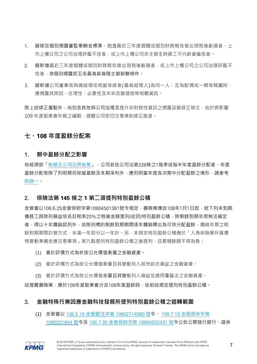- 1. 擬修改個別揭露董監事酬金標準,包含最近三年度個體或個別財務報告曾出現稅後虧損者、上 市上櫃公司之公司治理評鑑不佳者,或上市上櫃公司非主管全時員工平均薪資偏低者。
- 2. 擬新增最近三年度個體或個別財務報告曾出現稅後虧損者,或上市上櫃公司之公司治理評鑑不 佳者,應個別揭露前五名最高薪高階主管薪酬條件。
- 3. 擬新增公司董事長與總經理或相當等級者(最高經理人)為同一人、互為配偶或一親等親屬時, 應揭露其原因、合理性、必要性及未來改善措施等相關資訊。

除上述修正重點外,尚包含其他與公司治理及提升非財務性資訊之揭露品質修正條文,由於將影響 109年度股東會年報之編製,提醒公司密切注意準則修正進度。

### <span id="page-6-0"></span>**七、108 年度盈餘分配案**

#### 1. **期中盈餘分配之影響**

依經濟部[「新修正公司法問答集」](https://gcis.nat.gov.tw/mainNew/matterAction.do?method=browserFile&fileNo=10807091_qa),公司若依公司法第228條之1每季或每半年度盈餘分配者,年度 盈餘分配表除了列明期初保留盈餘及本期淨利外,應列明當年度各次期中分配盈餘之情形,請參考 [附錄一。](#page-18-0)

#### 2. **保險法第 145 條之 1 第二項提列特別盈餘公積**

金管會以108.6.25金管保財字第10804501381號令規定,壽險業應自108年1月1日起,就下列未到期 債務工具除列損益依名目稅率20%之稅後金額提列(收回)特別盈餘公積,除剩餘到期年限無法確定 者,得以十年攤銷認列外,依除列標的剩餘到期期間逐年攤銷釋出為可供分配盈餘,攤銷年期之剩 餘到期期間計算方式,未滿一年部分以一年計。另,本規定特別盈餘公積應於「人身保險業外匯價 格變動準備金應注意事項,第九點提列特別盈餘公積之後提列,且累積餘額不得為負:

- (1) 會計評價方式為非按公允價值衡量之金融資產。
- (2) 會計評價方式為按公允價值衡量且其變動列入其他綜合損益之金融資產。

(3) 會計評價方式為按公允價值衡量且其變動列入損益並適用覆蓋法之金融資產。 故提醒壽險業,應於109年度股東會分派108年度盈餘時,依前述規定提列特別盈餘公積。

#### 3. **金融特殊行業因應金融科技發展所提列特別盈餘公積之迴轉範圍**

(1) 金管會以 108.5.15 金管銀法字第 [10802714560](https://www.banking.gov.tw/ch/home.jsp?id=190&parentpath=0,3&mcustomize=lawnew_view.jsp&dataserno=201905150002) 號令、 108.7.10 [金管證券字第](https://www.sfb.gov.tw/ch/home.jsp?id=88&parentpath=0,3&mcustomize=lawnews_view.jsp&dataserno=201907100002) [1080321644](https://www.sfb.gov.tw/ch/home.jsp?id=88&parentpath=0,3&mcustomize=lawnews_view.jsp&dataserno=201907100002) 號令及 108.7.30 金管保財字第 [10804932431](https://www.ib.gov.tw/ch/home.jsp?id=37&parentpath=0,3&mcustomize=lawnew_view.jsp&dataserno=201907300001&dtable=Law) 號令公告公開發行銀行、證券

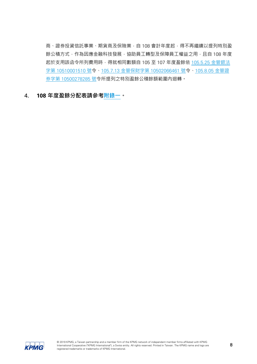商、證券投資信託事業、期貨商及保險業,自 108 會計年度起,得不再繼續以提列特別盈 餘公積方式,作為因應金融科技發展,協助員工轉型及保障員工權益之用,且自 108 年度 起於支用該函令所列費用時,得就相同數額自 105 至 107 年度盈餘依 105.5.25 [金管銀法](http://www.banking.gov.tw/ch/home.jsp?id=190&parentpath=0,3&mcustomize=lawnew_view.jsp&dataserno=201605250003) 字第 [10510001510](http://www.banking.gov.tw/ch/home.jsp?id=190&parentpath=0,3&mcustomize=lawnew_view.jsp&dataserno=201605250003) 號令、105.7.13 金管保財字第 [10502066461](http://www.ib.gov.tw/ch/home.jsp?id=37&parentpath=0,3&mcustomize=lawnew_view.jsp&dataserno=201607130001&aplistdn=ou=newlaw,ou=chlaw,ou=ap_root,o=fsc,c=tw&toolsflag=Y&dtable=Law) 號令、[105.8.05](http://www.sfb.gov.tw/ch/home.jsp?id=88&parentpath=0,3&mcustomize=lawnews_view.jsp&dataserno=201608050001&toolsflag=Y) 金管證 券字第 [10500278285](http://www.sfb.gov.tw/ch/home.jsp?id=88&parentpath=0,3&mcustomize=lawnews_view.jsp&dataserno=201608050001&toolsflag=Y) 號令所提列之特別盈餘公積餘額範圍內迴轉。

4. **108 年度盈餘分配表請參[考附錄一。](#page-18-0)**

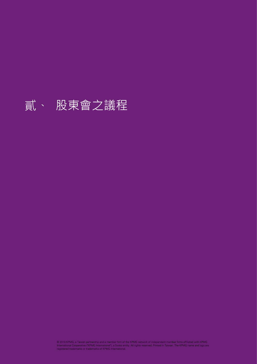# <span id="page-8-0"></span>貳、 股東會之議程

© 2019 KPMG, a Taiwan partnership and a member firm of the KPMG network of independent member firms affiliated with KPMG<br>International Cooperative ("KPMG International"), a Swiss entity. All rights reserved. Printed in Tai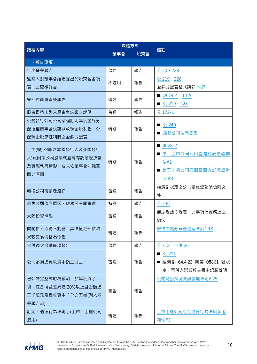|                                         | 決議方式 |     |                           |  |
|-----------------------------------------|------|-----|---------------------------|--|
| 議程內容                                    | 董事會  | 股東會 | 備註                        |  |
| 一、報告事項:                                 |      |     |                           |  |
| 年度營業報告                                  | 普通   | 報告  | 公 20 228                  |  |
| 監察人對董事會編造提出於股東會各項                       | 不適用  |     | 公 219、228                 |  |
| 表冊之查核報告                                 |      | 報告  | 盈餘分配表格式請詳 附錄一             |  |
| 審計委員會查核報告                               | 普通   | 報告  | ■ 證 14-4、14-5             |  |
|                                         |      |     | ■ 公 219 228               |  |
| 股東提案未列入股東會議案之說明                         | 普通   | 報告  | 公 172-1                   |  |
| 公開發行公司公司章程訂明年度盈餘分                       |      |     |                           |  |
| 配授權董事會決議發放現金股利者,分                       | 特別   | 報告  | 公 240<br>■ 最新公司法問答集       |  |
| 配現金股息紅利時之盈餘分配表                          |      |     |                           |  |
| 上市(櫃)公司(含本國發行人及外國發行                     |      |     | ■證28-2                    |  |
|                                         |      |     | ■ 第二上市公司買回臺灣存託憑證辦         |  |
| 人)買回本公司股票或臺灣存託憑證決議<br>及實際執行情形,或未依董事會決議買 | 特別   | 報告  | 法#2                       |  |
|                                         |      |     | ■ 第二上櫃公司買回臺灣存託憑證辦         |  |
| 回之原因                                    |      |     | 法#3                       |  |
| 轉換公司債換發股份                               | 普通   | 報告  | 經濟部規定之公司變更登記須檢附文          |  |
|                                         |      |     | 件                         |  |
| 募集公司債之原因、數額及有關事項                        | 特別   | 報告  | 公 246                     |  |
| 大陸投資情形                                  | 普通   | 報告  | 無法規函令規定,此事項為實務上之          |  |
|                                         |      |     | 做法                        |  |
| 向關係人取得不動產,其價值經評估結                       |      | 報告  | 取得或處分資產處理準則#18            |  |
| 果較交易價格為低者                               | 普通   |     |                           |  |
| 合併後之合併事項報告                              | 普通   | 報告  | 公 318、企併 26               |  |
|                                         |      | 報告  | ■ $\&$ 211                |  |
| 公司虧損達實收資本額二分之一                          | 普通   |     | ■ 經濟部 64.4.23 商第 08861 號規 |  |
|                                         |      |     | 定,可併入營業報告書中記載說明           |  |
| 已公開完整式財務預測,於年度終了                        |      |     | 公開財務預測資訊處理準則#25           |  |
| 後, 綜合損益差異達 20%以上且金額達                    | 報告   | 報告  |                           |  |
| 三千萬元及實收資本千分之五者(列入營                      |      |     |                           |  |
| 業報告書)                                   |      |     |                           |  |
| 訂定「道德行為準則」(上市、上櫃公司                      | 普通   | 報告  | 上市上櫃公司訂定道德行為準則參考          |  |
| 適用)                                     |      |     | 範例#5                      |  |

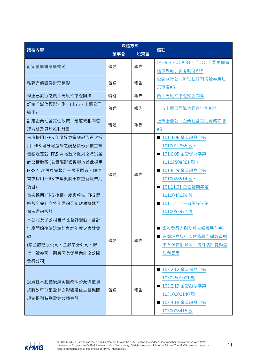| 議程內容                     | 決議方式 |     | 備註                    |  |
|--------------------------|------|-----|-----------------------|--|
|                          | 董事會  | 股東會 |                       |  |
| 訂定董事會議事規範                | 普通   | 報告  | 證 26-3、治理 31、「○○公司董事會 |  |
|                          |      |     | 議事規範」參考範例#19          |  |
| 私募有價證券辦理情形               | 普通   | 報告  | 公開發行公司辦理私募有價證券應注      |  |
|                          |      |     | 意事項#5                 |  |
| 修正已發行之員工認股權憑證辦法          | 特別   | 報告  | 員工認股權憑證疑義問答           |  |
| 訂定「誠信經營守則」(上市、上櫃公司       | 普通   |     |                       |  |
| 適用)                      |      | 報告  | 上市上櫃公司誠信經營守則#27       |  |
| 訂定企業社會責任政策、制度或相關管        | 普通   | 報告  | 上市上櫃公司企業社會責任實務守則      |  |
| 理方針及具體推動計畫               |      |     | #5                    |  |
| 首次採用 IFRS 年度股東會應報告首次採    |      |     | ■ 101.4.06 金管證發字第     |  |
| 用 IFRS 可分配盈餘之調整情形及依主管    |      |     | 1010012865號、          |  |
| 機關規定就 IFRS 開帳數所提列之特別盈    |      |     | ■ 101.6.05 金管保財字第     |  |
| 餘公積數額 (若實際影響數與於首此採用      |      | 報告  | 10102508861號、         |  |
| IFRS 年度股東會報告金額不同者,應於     | 普通   |     | ■ 101.6.29 金管證券字第     |  |
| 首次採用 IFRS 次年度股東會重新報告此    |      |     | 1010028514號、          |  |
| 項目)                      |      |     | ■ 101.11.01 金管證期字第    |  |
| 首次採用 IFRS 後續年度應報告 IFRS 開 |      |     | 1010048029號、          |  |
| 帳數所提列之特別盈餘公積數額迴轉至        |      |     | ■ 101.12.12 金管證投字第    |  |
| 保留盈餘數額                   |      |     | 1010055977 號          |  |
| 本公司及子公司自願性會計變動 - 會計      |      |     |                       |  |
| 年度開始後始決定該會計年度之會計變        |      |     | 證券發行人財務報告編製準則#6       |  |
| 動                        | 普通   | 報告  | 有關證券發行人財務報告編製準則       |  |
| (除金融控股公司、金融票券公司、銀        |      |     | 第6條會計政策、會計估計變動處       |  |
| 行、證券商、期貨商及保險業外之公開        |      |     | 理問答集                  |  |
| 發行公司)                    |      |     |                       |  |
|                          |      |     | ■ 103.2.12 金管保財字第     |  |
| 投資性不動產後續衡量改採公允價值模        |      |     | 10302501001 號         |  |
| 式時對可分配盈餘之影響及依主管機關        | 普通   | 報告  | ■ 103.2.19 金管銀法字第     |  |
| 規定提列特別盈餘公積金額             |      |     | 10310000140 號         |  |
|                          |      |     | ■ 103.3.18 金管證發字第     |  |
|                          |      |     | 1030006415 號          |  |

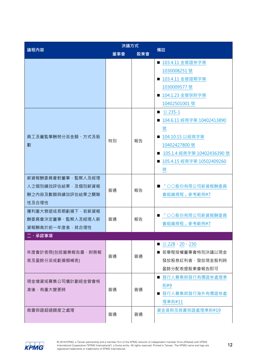| 議程內容               | 決議方式 |     |                                 |  |
|--------------------|------|-----|---------------------------------|--|
|                    | 董事會  | 股東會 | 備註                              |  |
|                    |      |     | ■ 103.4.11 金管證券字第               |  |
|                    |      |     | 1030008251 號                    |  |
|                    |      |     | ■ 103.4.11 金管證期字第               |  |
|                    |      |     | 1030009577 號                    |  |
|                    |      |     | ■ 104.1.23 金管保財字第               |  |
|                    |      |     | 10402501001 號                   |  |
|                    |      |     | ■ $\&$ 235-1                    |  |
|                    |      |     | ■ 104.6.11 經商字第 10402413890     |  |
|                    |      |     | 號                               |  |
| 員工及董監事酬勞分派金額、方式及股  | 特別   | 報告  | ■ 104.10.15 以經商字第               |  |
| 數                  |      |     | 10402427800 號                   |  |
|                    |      |     | 105.1.4 經商字第 10402436390 號<br>ш |  |
|                    |      |     | ■ 105.4.15 經商字第 10502409260     |  |
|                    |      |     | 號                               |  |
| 薪資報酬委員會對董事、監察人及經理  |      |     |                                 |  |
| 人之個別績效評估結果,及個別薪資報  | 普通   | 報告  | 「〇〇股份有限公司薪資報酬委員                 |  |
| 酬之内容及數額與績效評估結果之關聯  |      |     | 會組織規程」參考範例#7                    |  |
| 性及合理性              |      |     |                                 |  |
| 獲利重大衰退或長期虧損下,若薪資報  |      |     | 「〇〇股份有限公司薪資報酬委員                 |  |
| 酬委員會決定董事、監察人及經理人薪  | 普通   | 報告  | 會組織規程」參考範例#7                    |  |
| 資報酬高於前一年度者,其合理性    |      |     |                                 |  |
| 二、承認事項             |      |     |                                 |  |
|                    |      |     | ■ 公 228 · 20 · 230              |  |
| 年度會計表冊(包括營業報告書、財務報 | 普涌   | 普通  | ■ 若章程授權董事會特別決議以現金               |  |
| 表及盈餘分派或虧損撥補表)      |      |     | 發放股息紅利者,發放現金股利時                 |  |
|                    |      |     | 盈餘分配表提股東會報告即可                   |  |
| 現金增資或募集公司債計劃經金管會核  |      |     | ■ 發行人募集與發行有價證券處理準               |  |
| 准後,有重大變更時          | 普通   | 普通  | 則#9                             |  |
|                    |      |     | ■ 發行人募集與發行海外有價證券處               |  |
|                    |      |     | 理準則#11                          |  |
| 背書保證超過額度之處理        | 普通   | 普通  | 資金貸與及背書保證處理準則#19                |  |
|                    |      |     |                                 |  |

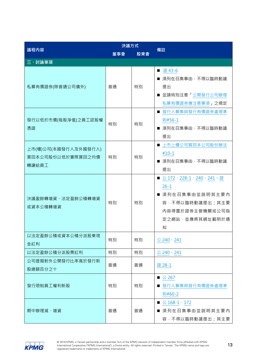|                                                    | 決議方式 |     | 備註                                                                                                                    |  |
|----------------------------------------------------|------|-----|-----------------------------------------------------------------------------------------------------------------------|--|
| 議程內容                                               | 董事會  | 股東會 |                                                                                                                       |  |
| 三、討論事項                                             |      |     |                                                                                                                       |  |
| 私募有價證券(除普通公司債外)                                    | 普通   | 特別  | 證 43-6<br>■ 須列在召集事由, 不得以臨時動議<br>提出<br>■ 並請特別注意「公開發行公司辦理<br>私募有價證券應注意事項」之規定                                            |  |
| 發行以低於市價(每股淨值)之員工認股權<br>憑證                          | 特別   | 特別  | ■ 發行人募集與發行有價證券處理準<br>則#56-1<br>■ 須列在召集事由, 不得以臨時動議<br>提出                                                               |  |
| 上市(櫃)公司(本國發行人及外國發行人)<br>買回本公司股份以低於實際買回之均價<br>轉讓給員工 | 特別   | 特別  | ■ 上市上櫃公司買回本公司股份辦法<br>$#10-1$<br>■ 須列在召集事由, 不得以臨時動議<br>提出                                                              |  |
| 決議盈餘轉增資、法定盈餘公積轉增資<br>或資本公積轉增資                      | 特別   | 特別  | ■ 公 172、228-1、240、241、證<br>$26 - 1$<br>■ 須列在召集事由並說明其主要內<br>容·不得以臨時動議提出;其主要<br>内容得置於證券主管機關或公司指<br>定之網站,並應將其網址載明於通<br>知 |  |
| 以法定盈餘公積或資本公積分派股東現<br>金紅利                           | 特別   | 特別  | 公 240、241                                                                                                             |  |
| 以法定盈餘公積分派股票紅利                                      | 特別   | 特別  | $\&$ 240 $\cdot$ 241                                                                                                  |  |
| 公司提撥對外公開發行比率高於發行新<br>股總額百分之十                       | 普通   | 普通  | 證 28-1                                                                                                                |  |
| 發行限制員工權利新股                                         | 特別   | 特別  | ■ 公 267<br>■ 發行人募集與發行有價證券處理準<br>則#60-2                                                                                |  |
| 期中辦理減、增資                                           | 普通   | 普通  | ■ $\&$ 168-1、172<br>■ 須列在召集事由並說明其主要內<br>容, 不得以臨時動議提出; 其主要                                                             |  |

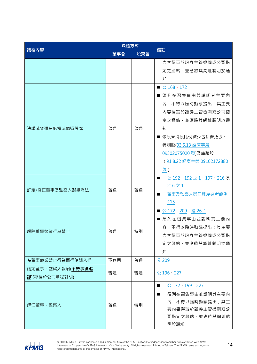| 議程內容                   | 決議方式 |     | 備註                        |  |
|------------------------|------|-----|---------------------------|--|
|                        | 董事會  | 股東會 |                           |  |
|                        |      |     | 内容得置於證券主管機關或公司指           |  |
|                        |      |     | 定之網站,並應將其網址載明於通           |  |
|                        |      |     | 知                         |  |
|                        |      |     | ■ $\triangle$ 168、172     |  |
|                        |      |     | ■ 須列在召集事由並說明其主要內          |  |
|                        |      |     | 容, 不得以臨時動議提出; 其主要         |  |
|                        |      |     | 內容得置於證券主管機關或公司指           |  |
|                        |      |     | 定之網站,並應將其網址載明於通           |  |
| 決議減資彌補虧損或退還股本          | 普通   | 普通  | 知                         |  |
|                        |      |     | ■ 依股東持股比例減少包括普通股、         |  |
|                        |      |     | 特別股(93.5.13 經商字第          |  |
|                        |      |     | 09302075020 號)及庫藏股        |  |
|                        |      |     | (91.8.22 經商字第 09102172880 |  |
|                        |      |     | 號)                        |  |
|                        | 普通   | 普通  | 公 192、192 之 1、197、216 及   |  |
| 訂定/修正董事及監察人選舉辦法        |      |     | $216 \not\supset 1$       |  |
|                        |      |     | 董事及監察人選任程序參考範例<br>ш       |  |
|                        |      |     | #15                       |  |
|                        |      | 特別  | ■ 公172、209、證 26-1         |  |
|                        |      |     | ■ 須列在召集事由並說明其主要內          |  |
| 解除董事競業行為禁止             | 普通   |     | 容, 不得以臨時動議提出; 其主要         |  |
|                        |      |     | 內容得置於證券主管機關或公司指           |  |
|                        |      |     | 定之網站,並應將其網址載明於通           |  |
|                        |      |     | 知                         |  |
| 為董事競業禁止行為而行使歸入權<br>不適用 |      | 普通  | 公 209                     |  |
| 議定董事、監察人報酬(不得事後追       | 普通   | 普通  | 公 196、227                 |  |
| 認)(亦得於公司章程訂明)          |      |     |                           |  |
|                        |      |     | 公 172 199 227<br>■        |  |
|                        | 普通   | 特別  | 須列在召集事由並說明其主要內            |  |
| 解任董事、監察人               |      |     | 容, 不得以臨時動議提出; 其主          |  |
|                        |      |     | 要内容得置於證券主管機關或公            |  |
|                        |      |     | 司指定之網站,並應將其網址載            |  |
|                        |      |     | 明於通知                      |  |

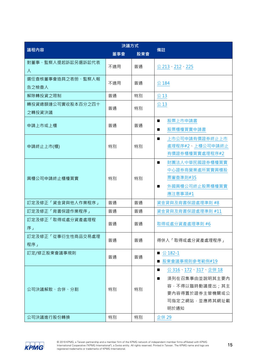| 議程內容                        | 決議方式       |          | 備註                                                                                                                             |  |
|-----------------------------|------------|----------|--------------------------------------------------------------------------------------------------------------------------------|--|
|                             | 董事會<br>股東會 |          |                                                                                                                                |  |
| 對董事、監察人提起訴訟另選訴訟代表<br>人      | 不適用        | 普通       | 公 213、212、225                                                                                                                  |  |
| 選任查核董事會造具之表册、監察人報<br>告之檢查人  | 不適用        | 普通       | 公 184                                                                                                                          |  |
| 解除轉投資之限制                    | 普通         | 特別       | 公13                                                                                                                            |  |
| 轉投資總額達公司實收股本百分之四十<br>之轉投資決議 | 普通         | 特別       | 公13                                                                                                                            |  |
| 申請上市或上櫃                     | 普通         | 普通       | 股票上市申請書<br>$\blacksquare$<br>股票櫃檯買賣申請書<br>■                                                                                    |  |
| 申請終止上市(櫃)                   | 特別         | 特別       | 上市公司申請有價證券終止上市<br>處理程序#2、上櫃公司申請終止<br>有價證券櫃檯買賣處理程序#2                                                                            |  |
| 興櫃公司申請終止櫃檯買賣                | 特別         | 特別       | 財團法人中華民國證券櫃檯買賣<br>$\blacksquare$<br>中心證券商營業處所買賣興櫃股<br>票審查準則#35<br>外國興櫃公司終止股票櫃檯買賣<br>$\blacksquare$<br>應注意事項#1                  |  |
| 訂定及修正「資金貸與他人作業程序」           | 普通         | 普通       | 資金貸與及背書保證處理準則 #8                                                                                                               |  |
| 訂定及修正「背書保證作業程序」             | 普通         | 普通       | 資金貸與及背書保證處理準則 #11                                                                                                              |  |
| 訂定及修正「取得或處分資產處理程<br>序」      | 普通         | 普通       | 取得或處分資產處理準則 #6                                                                                                                 |  |
| 訂定及修正「從事衍生性商品交易處理<br>程序」    | 普通         | 普通       | 得併入「取得或處分資產處理程序」                                                                                                               |  |
| 訂定/修正股東會議事規則                | 普通         | 普通       | ■ 公 182-1<br>股東會議事規則參考範例#19                                                                                                    |  |
| 公司決議解散、合併、分割<br>公司決議進行股份轉換  | 特別<br>特別   | 特別<br>特別 | 公 316、172、317、企併 18<br>須列在召集事由並說明其主要內<br>$\blacksquare$<br>容,不得以臨時動議提出;其主<br>要内容得置於證券主管機關或公<br>司指定之網站,並應將其網址載<br>明於通知<br>企併 29 |  |
|                             |            |          |                                                                                                                                |  |

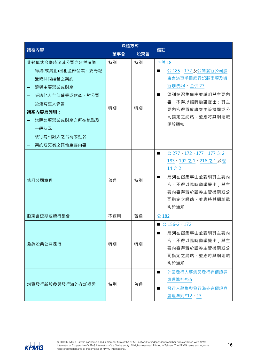|                                                                                   | 決議方式 |     |                                                                                                                                                                                                  |  |
|-----------------------------------------------------------------------------------|------|-----|--------------------------------------------------------------------------------------------------------------------------------------------------------------------------------------------------|--|
| 議程內容                                                                              | 董事會  | 股東會 | 備註                                                                                                                                                                                               |  |
| 非對稱式合併時消滅公司之合併決議                                                                  | 特別   | 特別  | 企併 18                                                                                                                                                                                            |  |
| 締結(或終止)出租全部營業、委託經<br>營或共同經營之契約<br>讓與主要營業或財產                                       |      |     | 公 185、172 及公開發行公司股<br>東會議事手冊應行記載事項及遵<br>行辦法#4、企併 27                                                                                                                                              |  |
| 受讓他人全部營業或財產,對公司<br>營運有重大影響<br>議案內容須列明:<br>說明該項營業或財產之所在地點及<br>一般狀況<br>該行為相對人之名稱或姓名 | 特別   | 特別  | 須列在召集事由並說明其主要內<br>$\blacksquare$<br>容, 不得以臨時動議提出; 其主<br>要内容得置於證券主管機關或公<br>司指定之網站,並應將其網址載<br>明於通知                                                                                                 |  |
| 契約或交易之其他重要内容<br>修訂公司章程                                                            | 普通   | 特別  | $\&$ 277 $\cdot$ 172 $\cdot$ 177 $\cdot$ 177 $\gtrsim$ 2 $\cdot$<br>■<br>183、192 之 1、216 之 1 及證<br>$14 \geq 2$<br>須列在召集事由並說明其主要內<br>容, 不得以臨時動議提出; 其主<br>要内容得置於證券主管機關或公<br>司指定之網站,並應將其網址載<br>明於通知 |  |
| 股東會延期或續行集會                                                                        | 不適用  | 普通  | 公 182                                                                                                                                                                                            |  |
| 撤銷股票公開發行                                                                          | 特別   | 特別  | ■ 公 156-2、172<br>須列在召集事由並說明其主要內<br>ш<br>容,不得以臨時動議提出;其主<br>要内容得置於證券主管機關或公<br>司指定之網站,並應將其網址載<br>明於通知                                                                                               |  |
| 增資發行新股參與發行海外存託憑證                                                                  | 特別   | 普通  | 外國發行人募集與發行有價證券<br>■<br>處理準則#55<br>發行人募集與發行海外有價證券<br>ш<br>處理準則#12、13                                                                                                                              |  |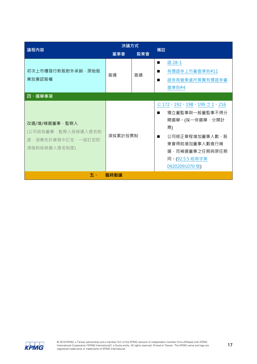| 議程內容                                                                     | 決議方式    |     | 備註                                                                                                                                                                  |  |
|--------------------------------------------------------------------------|---------|-----|---------------------------------------------------------------------------------------------------------------------------------------------------------------------|--|
|                                                                          | 董事會     | 股東會 |                                                                                                                                                                     |  |
| 初次上市櫃發行新股對外承銷,原始股<br>東放棄認股權                                              | 普通      | 普通  | 證 28-1<br>$\blacksquare$<br>有價證券上市審查準則#11<br>п<br>證券商營業處所買賣有價證券審<br>查準則#4                                                                                           |  |
| 四、選舉事項                                                                   |         |     |                                                                                                                                                                     |  |
| 改選/增/補選董事、監察人<br>(公司欲採董事、監察人採候選人提名制<br>度,須事先於章程中訂定,一經訂定即<br>須強制採候選人提名制度) | 須採累計投票制 |     | 公 172、192、198、199 之 1、216<br>獨立董監事與一般董監事不得分<br>■<br>開選舉。(採一併選舉、分開計<br>票)<br>公司修正章程增加董事人數,股<br>東會得就增加董事人數進行補<br>選,而補選董事之任期與原任期<br>同 · (92.5.5 經商字第<br>09202091070 號) |  |
| 五、                                                                       | 臨時動議    |     |                                                                                                                                                                     |  |

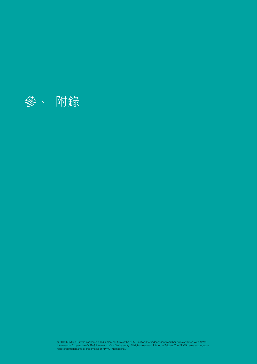<span id="page-17-0"></span>

© 2019 KPMG, a Taiwan partnership and a member firm of the KPMG network of independent member firms affiliated with KPMG<br>International Cooperative ("KPMG International"), a Swiss entity. All rights reserved. Printed in Tai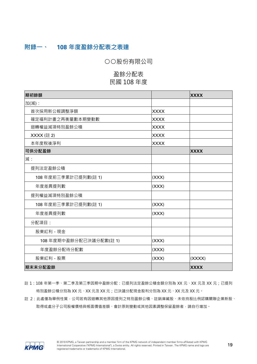# <span id="page-18-0"></span>**附錄一、 108 年度盈餘分配表之表達**

○○股份有限公司

# 盈餘分配表 民國 108 年度

| 期初餘額                   |             | <b>XXXX</b> |
|------------------------|-------------|-------------|
| 加(減):                  |             |             |
| 首次採用新公報調整淨額            | <b>XXXX</b> |             |
| 確定福利計畫之再衡量數本期變動數       | <b>XXXX</b> |             |
| 迴轉權益減項特別盈餘公積           | <b>XXXX</b> |             |
| XXXX (註 2)             | <b>XXXX</b> |             |
| 本年度稅後淨利                | <b>XXXX</b> |             |
| 可供分配盈餘                 |             | <b>XXXX</b> |
| 減:                     |             |             |
| 提列法定盈餘公積               |             |             |
| 108年度前三季累計已提列數(註1)     | (XXX)       |             |
| 年度差異提列數                | (XXX)       |             |
| 提列權益減項特別盈餘公積           |             |             |
| 108年度前三季累計已提列數(註1)     | (XXX)       |             |
| 年度差異提列數                | (XXX)       |             |
| 分配項目:                  |             |             |
| 股東紅利 - 現金              |             |             |
| 108年度期中盈餘分配已決議分配數(註 1) | (XXX)       |             |
| 年度盈餘分配待分配數             | (XXX)       |             |
| 股東紅利 - 股票              | (XXX)       | (XXXX)      |
| 期末未分配盈餘                |             | <b>XXXX</b> |

註 1:108 年第一季、第二季及第三季因期中盈餘分配:已提列法定盈餘公積金額分別為 XX 元、XX 元及 XX 元; 已提列 特別盈餘公積分別為 XX 元、XX 元及 XX 元;已決議分配現金股利分別為 XX 元、XX 元及 XX 元。

註 2: 此處僅為舉例性質, 公司若有因迴轉其他原因提列之特別盈餘公積、註銷庫藏股、未依持股比例認購關聯企業新股、 取得或處分子公司股權價格與帳面價值差額、會計原則變動或其他因素調整保留盈餘者,請自行增加。

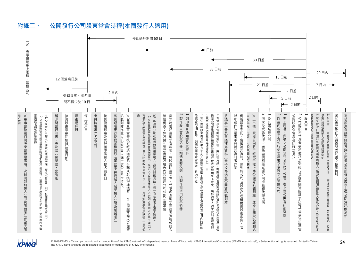# **附錄二、 公開發行公司股東常會時程(本國發行人適用)**

**KPMG** 



24